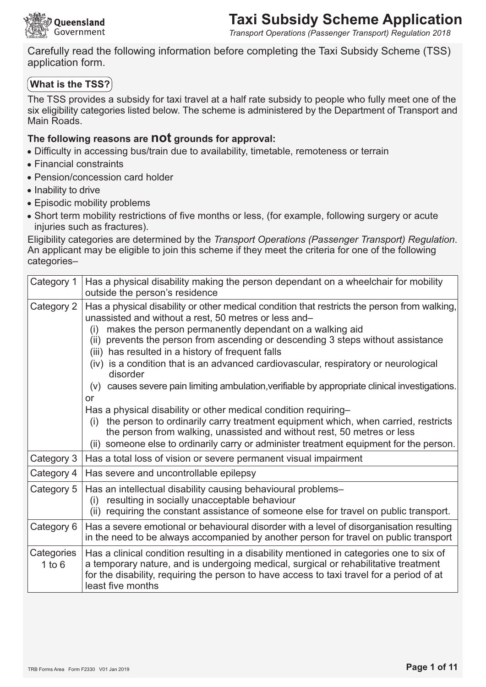

Transport Operations (Passenger Transport) Regulation 2018

Carefully read the following information before completing the Taxi Subsidy Scheme (TSS) application form.

### $|$  What is the TSS? $|$

The TSS provides a subsidy for taxi travel at a half rate subsidy to people who fully meet one of the six eligibility categories listed below. The scheme is administered by the Department of Transport and Main Roads.

### The following reasons are not grounds for approval:

- Difficulty in accessing bus/train due to availability, timetable, remoteness or terrain
- Financial constraints
- · Pension/concession card holder
- Inability to drive
- Episodic mobility problems
- Short term mobility restrictions of five months or less, (for example, following surgery or acute injuries such as fractures).

Eligibility categories are determined by the Transport Operations (Passenger Transport) Regulation. An applicant may be eligible to join this scheme if they meet the criteria for one of the following categories-

| Category 1               | Has a physical disability making the person dependant on a wheelchair for mobility<br>outside the person's residence                                                                                                                                                                                                                                                                                                                                                                                                                                                                                                                                                                                                                                                                                                                                                                                             |
|--------------------------|------------------------------------------------------------------------------------------------------------------------------------------------------------------------------------------------------------------------------------------------------------------------------------------------------------------------------------------------------------------------------------------------------------------------------------------------------------------------------------------------------------------------------------------------------------------------------------------------------------------------------------------------------------------------------------------------------------------------------------------------------------------------------------------------------------------------------------------------------------------------------------------------------------------|
| Category 2               | Has a physical disability or other medical condition that restricts the person from walking,<br>unassisted and without a rest, 50 metres or less and-<br>makes the person permanently dependant on a walking aid<br>(i)<br>(ii) prevents the person from ascending or descending 3 steps without assistance<br>(iii) has resulted in a history of frequent falls<br>(iv) is a condition that is an advanced cardiovascular, respiratory or neurological<br>disorder<br>(v) causes severe pain limiting ambulation, verifiable by appropriate clinical investigations.<br>or<br>Has a physical disability or other medical condition requiring-<br>the person to ordinarily carry treatment equipment which, when carried, restricts<br>(i)<br>the person from walking, unassisted and without rest, 50 metres or less<br>(ii) someone else to ordinarily carry or administer treatment equipment for the person. |
| Category 3               | Has a total loss of vision or severe permanent visual impairment                                                                                                                                                                                                                                                                                                                                                                                                                                                                                                                                                                                                                                                                                                                                                                                                                                                 |
| Category 4               | Has severe and uncontrollable epilepsy                                                                                                                                                                                                                                                                                                                                                                                                                                                                                                                                                                                                                                                                                                                                                                                                                                                                           |
| Category 5               | Has an intellectual disability causing behavioural problems-<br>resulting in socially unacceptable behaviour<br>(i)<br>(ii) requiring the constant assistance of someone else for travel on public transport.                                                                                                                                                                                                                                                                                                                                                                                                                                                                                                                                                                                                                                                                                                    |
| Category 6               | Has a severe emotional or behavioural disorder with a level of disorganisation resulting<br>in the need to be always accompanied by another person for travel on public transport                                                                                                                                                                                                                                                                                                                                                                                                                                                                                                                                                                                                                                                                                                                                |
| Categories<br>$1$ to $6$ | Has a clinical condition resulting in a disability mentioned in categories one to six of<br>a temporary nature, and is undergoing medical, surgical or rehabilitative treatment<br>for the disability, requiring the person to have access to taxi travel for a period of at<br>least five months                                                                                                                                                                                                                                                                                                                                                                                                                                                                                                                                                                                                                |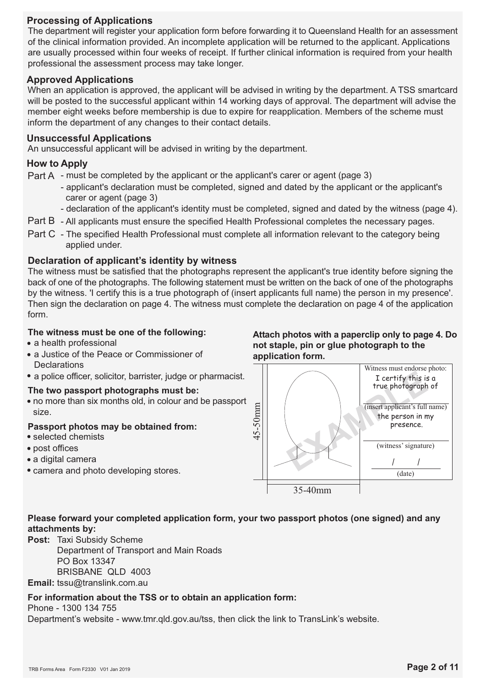### **Processing of Applications**

The department will register your application form before forwarding it to Queensland Health for an assessment of the clinical information provided. An incomplete application will be returned to the applicant. Applications are usually processed within four weeks of receipt. If further clinical information is required from your health professional the assessment process may take longer.

### **Approved Applications**

When an application is approved, the applicant will be advised in writing by the department. A TSS smartcard will be posted to the successful applicant within 14 working days of approval. The department will advise the member eight weeks before membership is due to expire for reapplication. Members of the scheme must inform the department of any changes to their contact details.

#### **Unsuccessful Applications**

An unsuccessful applicant will be advised in writing by the department.

### **How to Apply**

Part A - must be completed by the applicant or the applicant's carer or agent (page 3)

- applicant's declaration must be completed, signed and dated by the applicant or the applicant's carer or agent (page 3)
- declaration of the applicant's identity must be completed, signed and dated by the witness (page 4).
- Part B All applicants must ensure the specified Health Professional completes the necessary pages.
- Part C The specified Health Professional must complete all information relevant to the category being applied under.

### Declaration of applicant's identity by witness

The witness must be satisfied that the photographs represent the applicant's true identity before signing the back of one of the photographs. The following statement must be written on the back of one of the photographs by the witness. I certify this is a true photograph of (insert applicants full name) the person in my presence'. Then sign the declaration on page 4. The witness must complete the declaration on page 4 of the application form

#### The witness must be one of the following:

- a health professional
- a Justice of the Peace or Commissioner of **Declarations**
- · a police officer, solicitor, barrister, judge or pharmacist.

#### The two passport photographs must be:

• no more than six months old, in colour and be passport size.

#### Passport photos may be obtained from:

- selected chemists
- · post offices
- · a digital camera
- camera and photo developing stores.

Attach photos with a paperclip only to page 4. Do not staple, pin or glue photograph to the application form.



### Please forward your completed application form, your two passport photos (one signed) and any attachments by:

Post: Taxi Subsidy Scheme Department of Transport and Main Roads PO Box 13347 BRISBANE OLD 4003 Email: tssu@translink.com.au

#### For information about the TSS or to obtain an application form:

Phone - 1300 134 755

Department's website - www.tmr.qld.gov.au/tss, then click the link to TransLink's website.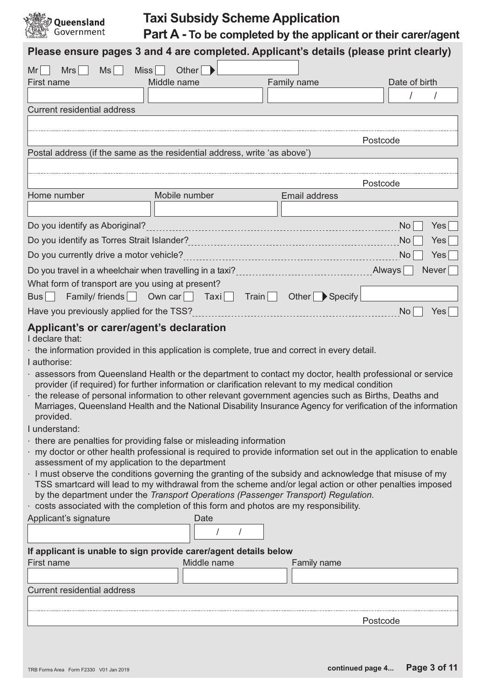

# **Taxi Subsidy Scheme Application**

Part A - To be completed by the applicant or their carer/agent

|                                                                                                                                                                                                    | Please ensure pages 3 and 4 are completed. Applicant's details (please print clearly)                                                                                                                                                                                                                                                                                                                                                                                                                                                                                                                                                                                                                                                                                                                                                                                                                                                                                                                                                                                                                                                                                                                                  |             |                    |          |               |       |
|----------------------------------------------------------------------------------------------------------------------------------------------------------------------------------------------------|------------------------------------------------------------------------------------------------------------------------------------------------------------------------------------------------------------------------------------------------------------------------------------------------------------------------------------------------------------------------------------------------------------------------------------------------------------------------------------------------------------------------------------------------------------------------------------------------------------------------------------------------------------------------------------------------------------------------------------------------------------------------------------------------------------------------------------------------------------------------------------------------------------------------------------------------------------------------------------------------------------------------------------------------------------------------------------------------------------------------------------------------------------------------------------------------------------------------|-------------|--------------------|----------|---------------|-------|
| Mr<br>Mrs<br>Ms                                                                                                                                                                                    | Miss<br>Other                                                                                                                                                                                                                                                                                                                                                                                                                                                                                                                                                                                                                                                                                                                                                                                                                                                                                                                                                                                                                                                                                                                                                                                                          |             |                    |          |               |       |
| First name                                                                                                                                                                                         | Middle name                                                                                                                                                                                                                                                                                                                                                                                                                                                                                                                                                                                                                                                                                                                                                                                                                                                                                                                                                                                                                                                                                                                                                                                                            | Family name |                    |          | Date of birth |       |
|                                                                                                                                                                                                    |                                                                                                                                                                                                                                                                                                                                                                                                                                                                                                                                                                                                                                                                                                                                                                                                                                                                                                                                                                                                                                                                                                                                                                                                                        |             |                    |          |               |       |
| <b>Current residential address</b>                                                                                                                                                                 |                                                                                                                                                                                                                                                                                                                                                                                                                                                                                                                                                                                                                                                                                                                                                                                                                                                                                                                                                                                                                                                                                                                                                                                                                        |             |                    |          |               |       |
|                                                                                                                                                                                                    |                                                                                                                                                                                                                                                                                                                                                                                                                                                                                                                                                                                                                                                                                                                                                                                                                                                                                                                                                                                                                                                                                                                                                                                                                        |             |                    |          |               |       |
|                                                                                                                                                                                                    |                                                                                                                                                                                                                                                                                                                                                                                                                                                                                                                                                                                                                                                                                                                                                                                                                                                                                                                                                                                                                                                                                                                                                                                                                        |             |                    | Postcode |               |       |
|                                                                                                                                                                                                    | Postal address (if the same as the residential address, write 'as above')                                                                                                                                                                                                                                                                                                                                                                                                                                                                                                                                                                                                                                                                                                                                                                                                                                                                                                                                                                                                                                                                                                                                              |             |                    |          |               |       |
|                                                                                                                                                                                                    |                                                                                                                                                                                                                                                                                                                                                                                                                                                                                                                                                                                                                                                                                                                                                                                                                                                                                                                                                                                                                                                                                                                                                                                                                        |             |                    |          |               |       |
|                                                                                                                                                                                                    |                                                                                                                                                                                                                                                                                                                                                                                                                                                                                                                                                                                                                                                                                                                                                                                                                                                                                                                                                                                                                                                                                                                                                                                                                        |             |                    | Postcode |               |       |
| Home number                                                                                                                                                                                        | Mobile number                                                                                                                                                                                                                                                                                                                                                                                                                                                                                                                                                                                                                                                                                                                                                                                                                                                                                                                                                                                                                                                                                                                                                                                                          |             | Email address      |          |               |       |
|                                                                                                                                                                                                    |                                                                                                                                                                                                                                                                                                                                                                                                                                                                                                                                                                                                                                                                                                                                                                                                                                                                                                                                                                                                                                                                                                                                                                                                                        |             |                    |          |               |       |
| Do you identify as Aboriginal?                                                                                                                                                                     |                                                                                                                                                                                                                                                                                                                                                                                                                                                                                                                                                                                                                                                                                                                                                                                                                                                                                                                                                                                                                                                                                                                                                                                                                        |             |                    |          | <b>No</b>     | Yes   |
| Do you identify as Torres Strait Islander?                                                                                                                                                         |                                                                                                                                                                                                                                                                                                                                                                                                                                                                                                                                                                                                                                                                                                                                                                                                                                                                                                                                                                                                                                                                                                                                                                                                                        |             |                    |          | <b>No</b>     | Yes   |
| Do you currently drive a motor vehicle?                                                                                                                                                            |                                                                                                                                                                                                                                                                                                                                                                                                                                                                                                                                                                                                                                                                                                                                                                                                                                                                                                                                                                                                                                                                                                                                                                                                                        |             |                    |          | No            | Yes   |
| Do you travel in a wheelchair when travelling in a taxi?                                                                                                                                           |                                                                                                                                                                                                                                                                                                                                                                                                                                                                                                                                                                                                                                                                                                                                                                                                                                                                                                                                                                                                                                                                                                                                                                                                                        |             |                    | Always   |               | Never |
| What form of transport are you using at present?                                                                                                                                                   |                                                                                                                                                                                                                                                                                                                                                                                                                                                                                                                                                                                                                                                                                                                                                                                                                                                                                                                                                                                                                                                                                                                                                                                                                        |             |                    |          |               |       |
| Family/friends   Own car<br>Bus                                                                                                                                                                    | Train<br>$\overline{a}$ Taxi<br>$\overline{\phantom{a}}$                                                                                                                                                                                                                                                                                                                                                                                                                                                                                                                                                                                                                                                                                                                                                                                                                                                                                                                                                                                                                                                                                                                                                               |             | Other Specify      |          |               |       |
| Have you previously applied for the TSS?                                                                                                                                                           |                                                                                                                                                                                                                                                                                                                                                                                                                                                                                                                                                                                                                                                                                                                                                                                                                                                                                                                                                                                                                                                                                                                                                                                                                        |             |                    |          | No            | Yes   |
| Applicant's or carer/agent's declaration<br>I declare that:<br>I authorise:<br>provided.<br>I understand:<br>assessment of my application to the department<br>Applicant's signature<br>First name | the information provided in this application is complete, true and correct in every detail.<br>assessors from Queensland Health or the department to contact my doctor, health professional or service<br>provider (if required) for further information or clarification relevant to my medical condition<br>the release of personal information to other relevant government agencies such as Births, Deaths and<br>Marriages, Queensland Health and the National Disability Insurance Agency for verification of the information<br>there are penalties for providing false or misleading information<br>my doctor or other health professional is required to provide information set out in the application to enable<br>I must observe the conditions governing the granting of the subsidy and acknowledge that misuse of my<br>TSS smartcard will lead to my withdrawal from the scheme and/or legal action or other penalties imposed<br>by the department under the Transport Operations (Passenger Transport) Regulation.<br>costs associated with the completion of this form and photos are my responsibility.<br>Date<br>If applicant is unable to sign provide carer/agent details below<br>Middle name |             | <b>Family name</b> |          |               |       |
|                                                                                                                                                                                                    |                                                                                                                                                                                                                                                                                                                                                                                                                                                                                                                                                                                                                                                                                                                                                                                                                                                                                                                                                                                                                                                                                                                                                                                                                        |             |                    |          |               |       |
| <b>Current residential address</b>                                                                                                                                                                 |                                                                                                                                                                                                                                                                                                                                                                                                                                                                                                                                                                                                                                                                                                                                                                                                                                                                                                                                                                                                                                                                                                                                                                                                                        |             |                    |          |               |       |
|                                                                                                                                                                                                    |                                                                                                                                                                                                                                                                                                                                                                                                                                                                                                                                                                                                                                                                                                                                                                                                                                                                                                                                                                                                                                                                                                                                                                                                                        |             |                    |          |               |       |
|                                                                                                                                                                                                    |                                                                                                                                                                                                                                                                                                                                                                                                                                                                                                                                                                                                                                                                                                                                                                                                                                                                                                                                                                                                                                                                                                                                                                                                                        |             |                    | Postcode |               |       |
|                                                                                                                                                                                                    |                                                                                                                                                                                                                                                                                                                                                                                                                                                                                                                                                                                                                                                                                                                                                                                                                                                                                                                                                                                                                                                                                                                                                                                                                        |             |                    |          |               |       |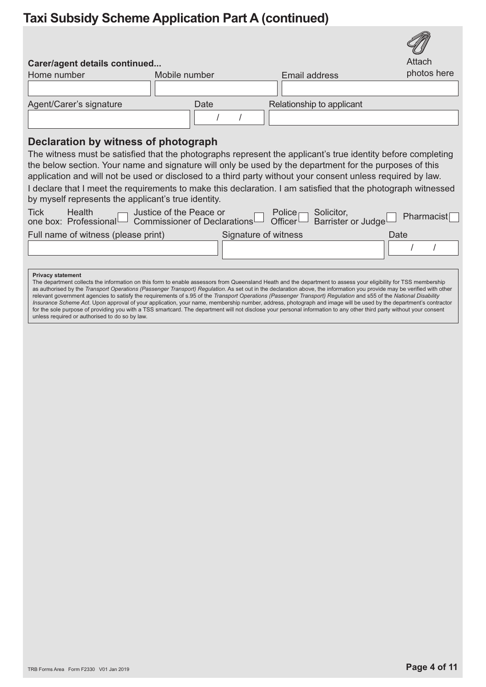# **Taxi Subsidy Scheme Application Part A (continued)**

| Carer/agent details continued                                                                                                                                                                                                                                                                                                                                                                                                                                                                                                                                                                                                                                                                                                                                                                                                                                                                                                            |                                                                              |                                                                                  | $\cup$<br>Attach |
|------------------------------------------------------------------------------------------------------------------------------------------------------------------------------------------------------------------------------------------------------------------------------------------------------------------------------------------------------------------------------------------------------------------------------------------------------------------------------------------------------------------------------------------------------------------------------------------------------------------------------------------------------------------------------------------------------------------------------------------------------------------------------------------------------------------------------------------------------------------------------------------------------------------------------------------|------------------------------------------------------------------------------|----------------------------------------------------------------------------------|------------------|
| Home number                                                                                                                                                                                                                                                                                                                                                                                                                                                                                                                                                                                                                                                                                                                                                                                                                                                                                                                              | Mobile number                                                                | Email address                                                                    | photos here      |
|                                                                                                                                                                                                                                                                                                                                                                                                                                                                                                                                                                                                                                                                                                                                                                                                                                                                                                                                          |                                                                              |                                                                                  |                  |
| Agent/Carer's signature                                                                                                                                                                                                                                                                                                                                                                                                                                                                                                                                                                                                                                                                                                                                                                                                                                                                                                                  | Date                                                                         | Relationship to applicant                                                        |                  |
|                                                                                                                                                                                                                                                                                                                                                                                                                                                                                                                                                                                                                                                                                                                                                                                                                                                                                                                                          |                                                                              |                                                                                  |                  |
| Declaration by witness of photograph                                                                                                                                                                                                                                                                                                                                                                                                                                                                                                                                                                                                                                                                                                                                                                                                                                                                                                     |                                                                              |                                                                                  |                  |
| The witness must be satisfied that the photographs represent the applicant's true identity before completing                                                                                                                                                                                                                                                                                                                                                                                                                                                                                                                                                                                                                                                                                                                                                                                                                             |                                                                              |                                                                                  |                  |
| the below section. Your name and signature will only be used by the department for the purposes of this                                                                                                                                                                                                                                                                                                                                                                                                                                                                                                                                                                                                                                                                                                                                                                                                                                  |                                                                              |                                                                                  |                  |
| application and will not be used or disclosed to a third party without your consent unless required by law.                                                                                                                                                                                                                                                                                                                                                                                                                                                                                                                                                                                                                                                                                                                                                                                                                              |                                                                              |                                                                                  |                  |
| I declare that I meet the requirements to make this declaration. I am satisfied that the photograph witnessed                                                                                                                                                                                                                                                                                                                                                                                                                                                                                                                                                                                                                                                                                                                                                                                                                            |                                                                              |                                                                                  |                  |
| by myself represents the applicant's true identity.                                                                                                                                                                                                                                                                                                                                                                                                                                                                                                                                                                                                                                                                                                                                                                                                                                                                                      |                                                                              |                                                                                  |                  |
| <b>Tick</b><br>Health<br>one box: Professional                                                                                                                                                                                                                                                                                                                                                                                                                                                                                                                                                                                                                                                                                                                                                                                                                                                                                           | Justice of the Peace or<br>$\perp$ Commissioner of Declarations <sup>t</sup> | Solicitor,<br>Police $\Box$<br>Officer <sup>L</sup><br><b>Barrister or Judge</b> | Pharmacist       |
| Full name of witness (please print)                                                                                                                                                                                                                                                                                                                                                                                                                                                                                                                                                                                                                                                                                                                                                                                                                                                                                                      |                                                                              | Signature of witness                                                             | Date             |
|                                                                                                                                                                                                                                                                                                                                                                                                                                                                                                                                                                                                                                                                                                                                                                                                                                                                                                                                          |                                                                              |                                                                                  |                  |
|                                                                                                                                                                                                                                                                                                                                                                                                                                                                                                                                                                                                                                                                                                                                                                                                                                                                                                                                          |                                                                              |                                                                                  |                  |
| <b>Privacy statement</b><br>The department collects the information on this form to enable assessors from Queensland Heath and the department to assess your eligibility for TSS membership<br>as authorised by the Transport Operations (Passenger Transport) Regulation. As set out in the declaration above, the information you provide may be verified with other<br>relevant government agencies to satisfy the requirements of s.95 of the Transport Operations (Passenger Transport) Regulation and s55 of the National Disability<br>Insurance Scheme Act. Upon approval of your application, your name, membership number, address, photograph and image will be used by the department's contractor<br>for the sole purpose of providing you with a TSS smartcard. The department will not disclose your personal information to any other third party without your consent<br>unless required or authorised to do so by law. |                                                                              |                                                                                  |                  |

M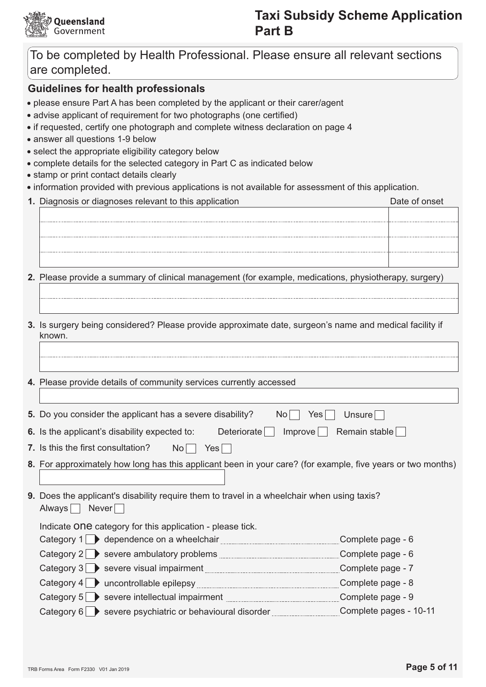

### **Taxi Subsidy Scheme Application Part B**

### To be completed by Health Professional. Please ensure all relevant sections are completed.

### **Guidelines for health professionals**

- please ensure Part A has been completed by the applicant or their carer/agent
- advise applicant of requirement for two photographs (one certified)
- if requested, certify one photograph and complete witness declaration on page 4
- · answer all questions 1-9 below
- select the appropriate eligibility category below
- complete details for the selected category in Part C as indicated below
- stamp or print contact details clearly
- information provided with previous applications is not available for assessment of this application.
- 1. Diagnosis or diagnoses relevant to this application Date of onset
- 2. Please provide a summary of clinical management (for example, medications, physiotherapy, surgery)
- 3. Is surgery being considered? Please provide approximate date, surgeon's name and medical facility if known.
- 4. Please provide details of community services currently accessed

5. Do you consider the applicant has a severe disability?  $No \Box Yes$  $\Box$  Unsure

| 6. Is the applicant's disability expected to: |  |  | Deteriorate   Improve Remain stable |
|-----------------------------------------------|--|--|-------------------------------------|
|-----------------------------------------------|--|--|-------------------------------------|

- 7. Is this the first consultation?  $No \Box Yes \Box$
- 8. For approximately how long has this applicant been in your care? (for example, five years or two months)
- 9. Does the applicant's disability require them to travel in a wheelchair when using taxis? Always Never

Indicate ONE category for this application - please tick.

- Category 1 ependence on a wheelchair Category 1 Complete page 6
- Category 2 Severe ambulatory problems Complete page 6
- Category 3 > severe visual impairment Complete page 7
- Category 5 > severe intellectual impairment Manuscritted and Complete page - 9
- Category 6 Severe psychiatric or behavioural disorder Complete pages 10-11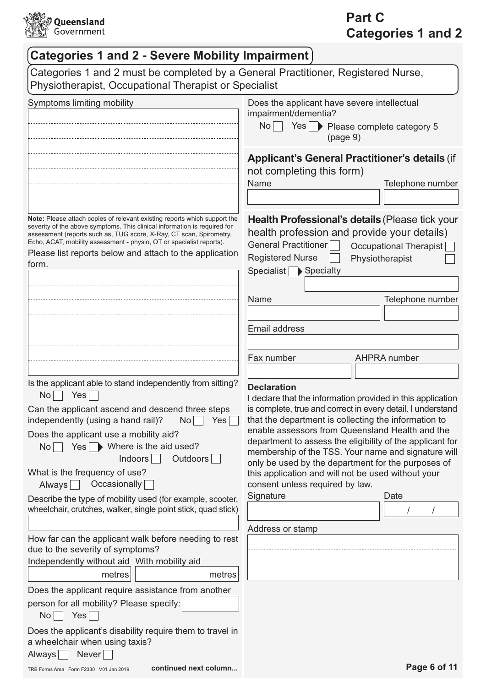

# Part C **Categories 1 and 2**

| <b>Categories 1 and 2 - Severe Mobility Impairment</b>                                                                                                                                                                                                                                                                                                                                                                                                                   |                       |                                                                                                                                                                                                                                                                                                                                                                                                                                                                                                                                             |          |                                           |
|--------------------------------------------------------------------------------------------------------------------------------------------------------------------------------------------------------------------------------------------------------------------------------------------------------------------------------------------------------------------------------------------------------------------------------------------------------------------------|-----------------------|---------------------------------------------------------------------------------------------------------------------------------------------------------------------------------------------------------------------------------------------------------------------------------------------------------------------------------------------------------------------------------------------------------------------------------------------------------------------------------------------------------------------------------------------|----------|-------------------------------------------|
| Categories 1 and 2 must be completed by a General Practitioner, Registered Nurse,<br>Physiotherapist, Occupational Therapist or Specialist                                                                                                                                                                                                                                                                                                                               |                       |                                                                                                                                                                                                                                                                                                                                                                                                                                                                                                                                             |          |                                           |
| Symptoms limiting mobility                                                                                                                                                                                                                                                                                                                                                                                                                                               |                       | Does the applicant have severe intellectual<br>impairment/dementia?<br>No Yes Please complete category 5                                                                                                                                                                                                                                                                                                                                                                                                                                    | (page 9) |                                           |
|                                                                                                                                                                                                                                                                                                                                                                                                                                                                          |                       | <b>Applicant's General Practitioner's details (if</b><br>not completing this form)<br>Name                                                                                                                                                                                                                                                                                                                                                                                                                                                  |          | Telephone number                          |
| Note: Please attach copies of relevant existing reports which support the<br>severity of the above symptoms. This clinical information is required for<br>assessment (reports such as, TUG score, X-Ray, CT scan, Spirometry,<br>Echo, ACAT, mobility assessment - physio, OT or specialist reports).<br>Please list reports below and attach to the application<br>form.                                                                                                |                       | Health Professional's details (Please tick your<br>health profession and provide your details)<br>General Practitioner<br><b>Registered Nurse</b><br>Specialist Specialty                                                                                                                                                                                                                                                                                                                                                                   |          | Occupational Therapist<br>Physiotherapist |
|                                                                                                                                                                                                                                                                                                                                                                                                                                                                          |                       | Name<br><b>Email address</b>                                                                                                                                                                                                                                                                                                                                                                                                                                                                                                                |          | Telephone number                          |
|                                                                                                                                                                                                                                                                                                                                                                                                                                                                          |                       | Fax number                                                                                                                                                                                                                                                                                                                                                                                                                                                                                                                                  |          | <b>AHPRA</b> number                       |
| Is the applicant able to stand independently from sitting?<br>Yes<br>No<br>Can the applicant ascend and descend three steps<br>independently (using a hand rail)?<br>Does the applicant use a mobility aid?<br>$Yes \rightarrow Where$ is the aid used?<br>No<br><b>Indoors</b><br>What is the frequency of use?<br>Occasionally<br>Always<br>Describe the type of mobility used (for example, scooter,<br>wheelchair, crutches, walker, single point stick, quad stick) | No<br>Yes<br>Outdoors | <b>Declaration</b><br>I declare that the information provided in this application<br>is complete, true and correct in every detail. I understand<br>that the department is collecting the information to<br>enable assessors from Queensland Health and the<br>department to assess the eligibility of the applicant for<br>membership of the TSS. Your name and signature will<br>only be used by the department for the purposes of<br>this application and will not be used without your<br>consent unless required by law.<br>Signature |          | Date                                      |
| How far can the applicant walk before needing to rest<br>due to the severity of symptoms?<br>Independently without aid With mobility aid<br>metres                                                                                                                                                                                                                                                                                                                       | metres                | Address or stamp                                                                                                                                                                                                                                                                                                                                                                                                                                                                                                                            |          |                                           |
| Does the applicant require assistance from another<br>person for all mobility? Please specify:<br>Yes<br>No                                                                                                                                                                                                                                                                                                                                                              |                       |                                                                                                                                                                                                                                                                                                                                                                                                                                                                                                                                             |          |                                           |
| Does the applicant's disability require them to travel in<br>a wheelchair when using taxis?<br>Never<br>Always                                                                                                                                                                                                                                                                                                                                                           |                       |                                                                                                                                                                                                                                                                                                                                                                                                                                                                                                                                             |          |                                           |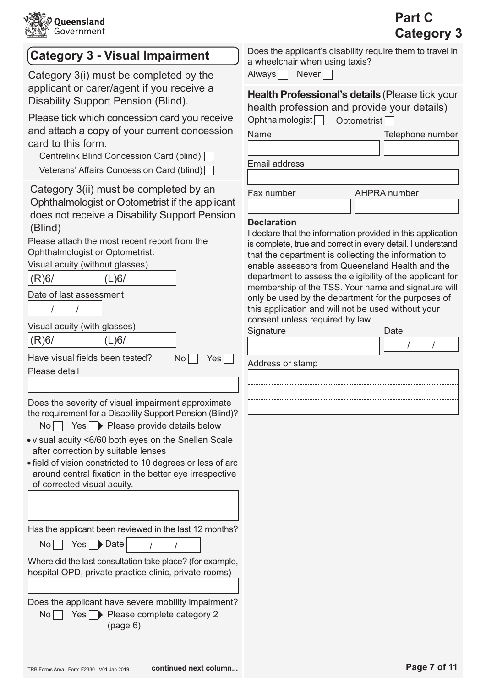

| <b>Category 3 - Visual Impairment</b>                                                                                                                                                                                                                                                                                                                                                                                                                                                                                                                                                                                                                                                                                                                                             | Does the applicant's disability require them to travel in<br>a wheelchair when using taxis?                                                                                                                                                                                                                                                                                                                                                                                                                                                                                                                  |
|-----------------------------------------------------------------------------------------------------------------------------------------------------------------------------------------------------------------------------------------------------------------------------------------------------------------------------------------------------------------------------------------------------------------------------------------------------------------------------------------------------------------------------------------------------------------------------------------------------------------------------------------------------------------------------------------------------------------------------------------------------------------------------------|--------------------------------------------------------------------------------------------------------------------------------------------------------------------------------------------------------------------------------------------------------------------------------------------------------------------------------------------------------------------------------------------------------------------------------------------------------------------------------------------------------------------------------------------------------------------------------------------------------------|
| Category 3(i) must be completed by the<br>applicant or carer/agent if you receive a<br>Disability Support Pension (Blind).<br>Please tick which concession card you receive<br>and attach a copy of your current concession<br>card to this form.<br>Centrelink Blind Concession Card (blind)  <br>Veterans' Affairs Concession Card (blind)                                                                                                                                                                                                                                                                                                                                                                                                                                      | Never<br>Always<br>Health Professional's details (Please tick your<br>health profession and provide your details)<br>Ophthalmologist<br>Optometrist<br>Name<br>Telephone number<br>Email address                                                                                                                                                                                                                                                                                                                                                                                                             |
| Category 3(ii) must be completed by an<br>Ophthalmologist or Optometrist if the applicant<br>does not receive a Disability Support Pension<br>(Blind)<br>Please attach the most recent report from the<br>Ophthalmologist or Optometrist.<br>Visual acuity (without glasses)<br>(R)6/<br>(L)6/<br>Date of last assessment<br>Visual acuity (with glasses)<br>(R)6/<br>(L)6/<br>Have visual fields been tested?<br><b>No</b><br>Yes<br>Please detail                                                                                                                                                                                                                                                                                                                               | Fax number<br><b>AHPRA</b> number<br><b>Declaration</b><br>I declare that the information provided in this application<br>is complete, true and correct in every detail. I understand<br>that the department is collecting the information to<br>enable assessors from Queensland Health and the<br>department to assess the eligibility of the applicant for<br>membership of the TSS. Your name and signature will<br>only be used by the department for the purposes of<br>this application and will not be used without your<br>consent unless required by law.<br>Signature<br>Date<br>Address or stamp |
| Does the severity of visual impairment approximate<br>the requirement for a Disability Support Pension (Blind)?<br>Yes Please provide details below<br>No <sub>1</sub><br>. visual acuity <6/60 both eyes on the Snellen Scale<br>after correction by suitable lenses<br>· field of vision constricted to 10 degrees or less of arc<br>around central fixation in the better eye irrespective<br>of corrected visual acuity.<br>Has the applicant been reviewed in the last 12 months?<br>$Yes \rightarrow Date$<br>No <sub>1</sub><br>Where did the last consultation take place? (for example,<br>hospital OPD, private practice clinic, private rooms)<br>Does the applicant have severe mobility impairment?<br>No <sub>1</sub><br>Yes Please complete category 2<br>(page 6) |                                                                                                                                                                                                                                                                                                                                                                                                                                                                                                                                                                                                              |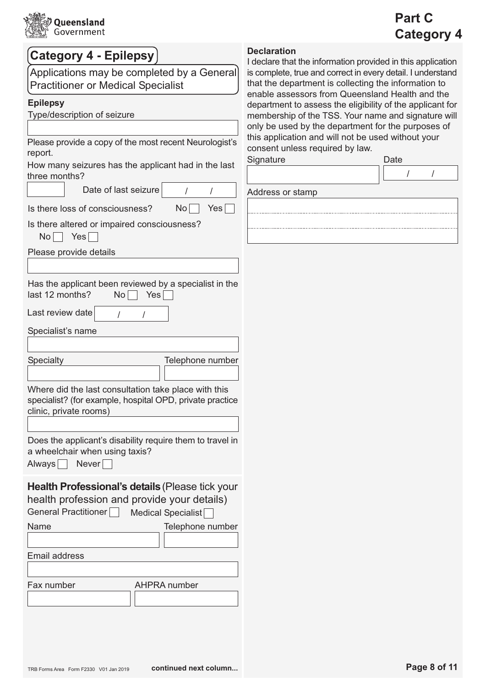

# Part C **Category 4**

| <b>Category 4 - Epilepsy</b>                                                                                                                               | <b>Declaration</b><br>I declare that the information provided in this application                                                                                      |
|------------------------------------------------------------------------------------------------------------------------------------------------------------|------------------------------------------------------------------------------------------------------------------------------------------------------------------------|
| Applications may be completed by a General<br><b>Practitioner or Medical Specialist</b>                                                                    | is complete, true and correct in every detail. I understand<br>that the department is collecting the information to<br>enable assessors from Queensland Health and the |
| <b>Epilepsy</b>                                                                                                                                            | department to assess the eligibility of the applicant for                                                                                                              |
| Type/description of seizure                                                                                                                                | membership of the TSS. Your name and signature wil                                                                                                                     |
|                                                                                                                                                            | only be used by the department for the purposes of                                                                                                                     |
| Please provide a copy of the most recent Neurologist's<br>report.                                                                                          | this application and will not be used without your<br>consent unless required by law.                                                                                  |
| How many seizures has the applicant had in the last<br>three months?                                                                                       | Signature<br>Date                                                                                                                                                      |
| Date of last seizure                                                                                                                                       | Address or stamp                                                                                                                                                       |
| Yes<br>Is there loss of consciousness?<br>No <sub>1</sub>                                                                                                  |                                                                                                                                                                        |
| Is there altered or impaired consciousness?<br>Yes<br>No <sub>1</sub>                                                                                      |                                                                                                                                                                        |
| Please provide details                                                                                                                                     |                                                                                                                                                                        |
|                                                                                                                                                            |                                                                                                                                                                        |
| Has the applicant been reviewed by a specialist in the                                                                                                     |                                                                                                                                                                        |
| last 12 months?<br>Yes<br>No <sub>1</sub>                                                                                                                  |                                                                                                                                                                        |
| Last review date                                                                                                                                           |                                                                                                                                                                        |
| Specialist's name                                                                                                                                          |                                                                                                                                                                        |
|                                                                                                                                                            |                                                                                                                                                                        |
| Specialty<br>Telephone number                                                                                                                              |                                                                                                                                                                        |
| Where did the last consultation take place with this<br>specialist? (for example, hospital OPD, private practice<br>clinic, private rooms)                 |                                                                                                                                                                        |
| Does the applicant's disability require them to travel in<br>a wheelchair when using taxis?<br>Never<br><b>Always</b>                                      |                                                                                                                                                                        |
| <b>Health Professional's details (Please tick your</b><br>health profession and provide your details)<br><b>General Practitioner</b><br>Medical Specialist |                                                                                                                                                                        |
| Telephone number<br>Name                                                                                                                                   |                                                                                                                                                                        |
|                                                                                                                                                            |                                                                                                                                                                        |
| <b>Email address</b>                                                                                                                                       |                                                                                                                                                                        |
|                                                                                                                                                            |                                                                                                                                                                        |
| Fax number<br><b>AHPRA</b> number                                                                                                                          |                                                                                                                                                                        |
|                                                                                                                                                            |                                                                                                                                                                        |
|                                                                                                                                                            |                                                                                                                                                                        |
|                                                                                                                                                            |                                                                                                                                                                        |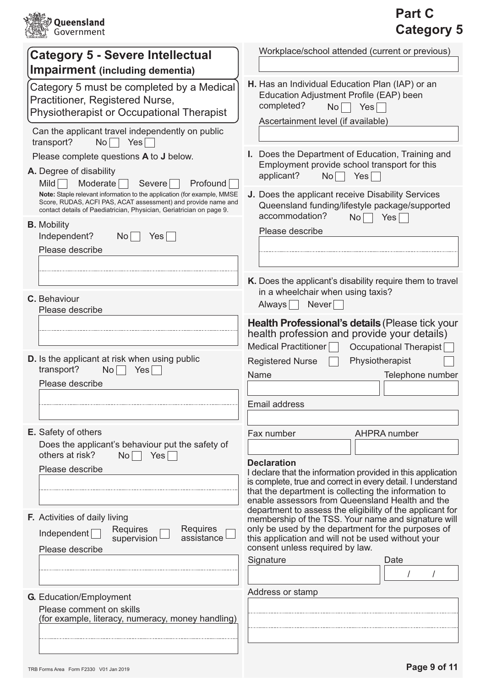

### Part C **Category 5**

| <b>Category 5 - Severe Intellectual</b>                                                                                                                                                                          | Workplace/school attended (current or previous)                                                                                                                        |
|------------------------------------------------------------------------------------------------------------------------------------------------------------------------------------------------------------------|------------------------------------------------------------------------------------------------------------------------------------------------------------------------|
| <b>Impairment</b> (including dementia)                                                                                                                                                                           |                                                                                                                                                                        |
| Category 5 must be completed by a Medical<br>Practitioner, Registered Nurse,<br><b>Physiotherapist or Occupational Therapist</b>                                                                                 | H. Has an Individual Education Plan (IAP) or an<br>Education Adjustment Profile (EAP) been<br>completed?<br><b>No</b><br>Yes<br>Ascertainment level (if available)     |
| Can the applicant travel independently on public<br>transport?<br>$No$    <br>Yes                                                                                                                                |                                                                                                                                                                        |
| Please complete questions A to J below.<br>A. Degree of disability<br>Mild<br>Profound<br>Moderate<br><b>Severe</b>                                                                                              | I. Does the Department of Education, Training and<br>Employment provide school transport for this<br>applicant?<br>No<br>Yes                                           |
| Note: Staple relevant information to the application (for example, MMSE<br>Score, RUDAS, ACFI PAS, ACAT assessment) and provide name and<br>contact details of Paediatrician, Physician, Geriatrician on page 9. | J. Does the applicant receive Disability Services<br>Queensland funding/lifestyle package/supported<br>accommodation?<br>Yes<br>No                                     |
| <b>B.</b> Mobility<br>Independent?<br>No<br>Yes                                                                                                                                                                  | Please describe                                                                                                                                                        |
| Please describe                                                                                                                                                                                                  |                                                                                                                                                                        |
|                                                                                                                                                                                                                  | K. Does the applicant's disability require them to travel<br>in a wheelchair when using taxis?                                                                         |
| C. Behaviour<br>Please describe                                                                                                                                                                                  | Always<br>Never                                                                                                                                                        |
|                                                                                                                                                                                                                  | Health Professional's details (Please tick your<br>health profession and provide your details)<br><b>Medical Practitioner</b><br><b>Occupational Therapist</b>         |
| <b>D.</b> Is the applicant at risk when using public<br>transport?<br>No<br>Yes <sup></sup>                                                                                                                      | Physiotherapist<br><b>Registered Nurse</b>                                                                                                                             |
| Please describe                                                                                                                                                                                                  | Name<br>Telephone number                                                                                                                                               |
|                                                                                                                                                                                                                  | Email address                                                                                                                                                          |
| E. Safety of others<br>Does the applicant's behaviour put the safety of                                                                                                                                          | Fax number<br>AHPRA number                                                                                                                                             |
| others at risk?<br>Yes<br>No<br>Please describe                                                                                                                                                                  | <b>Declaration</b><br>I declare that the information provided in this application                                                                                      |
|                                                                                                                                                                                                                  | is complete, true and correct in every detail. I understand<br>that the department is collecting the information to<br>enable assessors from Queensland Health and the |
| F. Activities of daily living<br><b>Requires</b><br><b>Requires</b>                                                                                                                                              | department to assess the eligibility of the applicant for<br>membership of the TSS. Your name and signature will<br>only be used by the department for the purposes of |
| Independent<br>assistance<br>supervision<br>Please describe                                                                                                                                                      | this application and will not be used without your<br>consent unless required by law.                                                                                  |
|                                                                                                                                                                                                                  | Signature<br>Date                                                                                                                                                      |
| <b>G.</b> Education/Employment                                                                                                                                                                                   | Address or stamp                                                                                                                                                       |
| Please comment on skills<br>(for example, literacy, numeracy, money handling)                                                                                                                                    |                                                                                                                                                                        |
|                                                                                                                                                                                                                  |                                                                                                                                                                        |
|                                                                                                                                                                                                                  |                                                                                                                                                                        |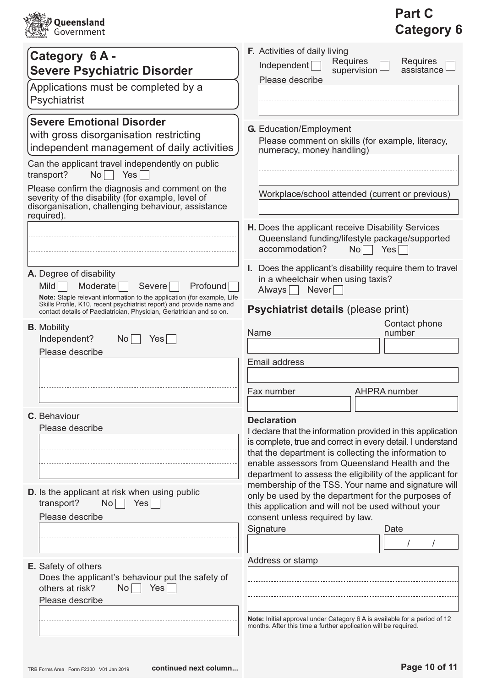

# Part C Category 6

| Category 6A -                                                                                                                                                            | <b>F.</b> Activities of daily living                                                                                                           |
|--------------------------------------------------------------------------------------------------------------------------------------------------------------------------|------------------------------------------------------------------------------------------------------------------------------------------------|
| <b>Severe Psychiatric Disorder</b>                                                                                                                                       | Requires<br>Requires<br>Independent<br>supervision<br>assistance                                                                               |
| Applications must be completed by a                                                                                                                                      | Please describe                                                                                                                                |
| Psychiatrist                                                                                                                                                             |                                                                                                                                                |
|                                                                                                                                                                          |                                                                                                                                                |
| <b>Severe Emotional Disorder</b>                                                                                                                                         | <b>G.</b> Education/Employment                                                                                                                 |
| with gross disorganisation restricting                                                                                                                                   | Please comment on skills (for example, literacy,                                                                                               |
| independent management of daily activities                                                                                                                               | numeracy, money handling)                                                                                                                      |
| Can the applicant travel independently on public<br>Yes<br>transport?<br>No                                                                                              |                                                                                                                                                |
| Please confirm the diagnosis and comment on the<br>severity of the disability (for example, level of<br>disorganisation, challenging behaviour, assistance<br>required). | Workplace/school attended (current or previous)                                                                                                |
|                                                                                                                                                                          | H. Does the applicant receive Disability Services<br>Queensland funding/lifestyle package/supported<br>Yes<br>accommodation?<br>N <sub>O</sub> |
| A. Degree of disability<br>Moderate<br>Profound<br>Mild  <br>Severe<br>Note: Staple relevant information to the application (for example, Life                           | Does the applicant's disability require them to travel<br>L.<br>in a wheelchair when using taxis?<br>Never<br>Always                           |
| Skills Profile, K10, recent psychiatrist report) and provide name and<br>contact details of Paediatrician, Physician, Geriatrician and so on.                            | Psychiatrist details (please print)                                                                                                            |
| <b>B.</b> Mobility                                                                                                                                                       | Contact phone<br>Name<br>number                                                                                                                |
| Independent?<br><b>No</b><br>Yes <sub>1</sub>                                                                                                                            |                                                                                                                                                |
| Please describe                                                                                                                                                          | <b>Email address</b>                                                                                                                           |
|                                                                                                                                                                          |                                                                                                                                                |
|                                                                                                                                                                          | Fax number<br>AHPRA number                                                                                                                     |
| C. Behaviour                                                                                                                                                             | <b>Declaration</b>                                                                                                                             |
| Please describe                                                                                                                                                          | I declare that the information provided in this application                                                                                    |
|                                                                                                                                                                          | is complete, true and correct in every detail. I understand                                                                                    |
|                                                                                                                                                                          | that the department is collecting the information to<br>enable assessors from Queensland Health and the                                        |
|                                                                                                                                                                          | department to assess the eligibility of the applicant for                                                                                      |
| <b>D.</b> Is the applicant at risk when using public                                                                                                                     | membership of the TSS. Your name and signature will                                                                                            |
| transport?<br>Yes<br>No                                                                                                                                                  | only be used by the department for the purposes of<br>this application and will not be used without your                                       |
| Please describe                                                                                                                                                          | consent unless required by law.                                                                                                                |
|                                                                                                                                                                          | Signature<br>Date                                                                                                                              |
|                                                                                                                                                                          |                                                                                                                                                |
| E. Safety of others                                                                                                                                                      | Address or stamp                                                                                                                               |
| Does the applicant's behaviour put the safety of                                                                                                                         |                                                                                                                                                |
| others at risk?<br>Yes<br>No <sub>1</sub>                                                                                                                                |                                                                                                                                                |
| Please describe                                                                                                                                                          |                                                                                                                                                |
|                                                                                                                                                                          | Note: Initial approval under Category 6 A is available for a period of 12<br>months. After this time a further application will be required.   |
|                                                                                                                                                                          |                                                                                                                                                |
|                                                                                                                                                                          |                                                                                                                                                |